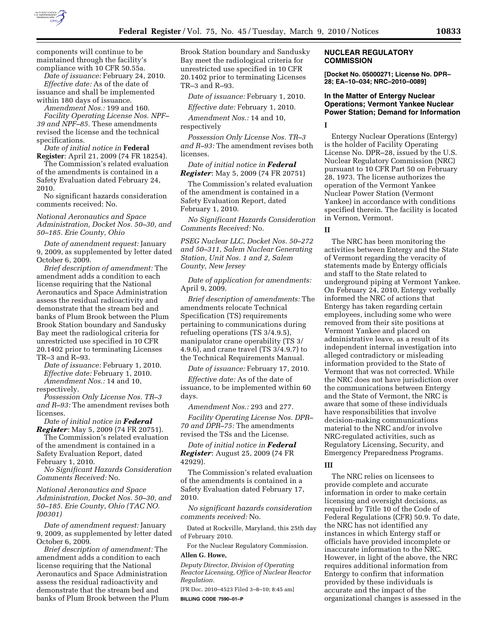

components will continue to be maintained through the facility's compliance with 10 CFR 50.55a.

*Date of issuance:* February 24, 2010. *Effective date:* As of the date of issuance and shall be implemented within 180 days of issuance.

*Amendment Nos.:* 199 and 160. *Facility Operating License Nos. NPF– 39 and NPF–85.* These amendments revised the license and the technical specifications.

*Date of initial notice in* **Federal Register**: April 21, 2009 (74 FR 18254).

The Commission's related evaluation of the amendments is contained in a Safety Evaluation dated February 24, 2010.

No significant hazards consideration comments received: No.

*National Aeronautics and Space Administration, Docket Nos. 50–30, and 50–185. Erie County, Ohio* 

*Date of amendment request:* January 9, 2009, as supplemented by letter dated October 6, 2009.

*Brief description of amendment:* The amendment adds a condition to each license requiring that the National Aeronautics and Space Administration assess the residual radioactivity and demonstrate that the stream bed and banks of Plum Brook between the Plum Brook Station boundary and Sandusky Bay meet the radiological criteria for unrestricted use specified in 10 CFR 20.1402 prior to terminating Licenses TR–3 and R–93.

*Date of issuance:* February 1, 2010. *Effective date:* February 1, 2010. *Amendment Nos.:* 14 and 10,

respectively.

*Possession Only License Nos. TR–3 and R–93:* The amendment revises both licenses.

*Date of initial notice in Federal Register*: May 5, 2009 (74 FR 20751).

The Commission's related evaluation of the amendment is contained in a Safety Evaluation Report, dated February 1, 2010.

*No Significant Hazards Consideration Comments Received:* No.

*National Aeronautics and Space Administration, Docket Nos. 50–30, and 50–185. Erie County, Ohio (TAC NO. J00301)* 

*Date of amendment request:* January 9, 2009, as supplemented by letter dated October 6, 2009.

*Brief description of amendment:* The amendment adds a condition to each license requiring that the National Aeronautics and Space Administration assess the residual radioactivity and demonstrate that the stream bed and banks of Plum Brook between the Plum Brook Station boundary and Sandusky Bay meet the radiological criteria for unrestricted use specified in 10 CFR 20.1402 prior to terminating Licenses TR–3 and R–93.

*Date of issuance:* February 1, 2010.

*Effective date:* February 1, 2010.

*Amendment Nos.:* 14 and 10, respectively

*Possession Only License Nos. TR–3 and R–93:* The amendment revises both licenses.

*Date of initial notice in Federal Register*: May 5, 2009 (74 FR 20751)

The Commission's related evaluation of the amendment is contained in a Safety Evaluation Report, dated February 1, 2010.

*No Significant Hazards Consideration Comments Received:* No.

*PSEG Nuclear LLC, Docket Nos. 50–272 and 50–311, Salem Nuclear Generating Station, Unit Nos. 1 and 2, Salem County, New Jersey* 

*Date of application for amendments:*  April 9, 2009.

*Brief description of amendments:* The amendments relocate Technical Specification (TS) requirements pertaining to communications during refueling operations (TS 3/4.9.5), manipulator crane operability (TS 3/ 4.9.6), and crane travel (TS 3/4.9.7) to the Technical Requirements Manual.

*Date of issuance:* February 17, 2010.

*Effective date:* As of the date of issuance, to be implemented within 60 days.

*Amendment Nos.:* 293 and 277.

*Facility Operating License Nos. DPR– 70 and DPR–75:* The amendments revised the TSs and the License.

*Date of initial notice in Federal Register*: August 25, 2009 (74 FR 42929).

The Commission's related evaluation of the amendments is contained in a Safety Evaluation dated February 17, 2010.

*No significant hazards consideration comments received:* No.

Dated at Rockville, Maryland, this 25th day of February 2010.

For the Nuclear Regulatory Commission.

# **Allen G. Howe,**

*Deputy Director, Division of Operating Reactor Licensing, Office of Nuclear Reactor Regulation.* 

[FR Doc. 2010–4523 Filed 3–8–10; 8:45 am] **BILLING CODE 7590–01–P** 

# **NUCLEAR REGULATORY COMMISSION**

**[Docket No. 05000271; License No. DPR– 28; EA–10–034; NRC–2010–0089]** 

# **In the Matter of Entergy Nuclear Operations; Vermont Yankee Nuclear Power Station; Demand for Information**

**I** 

Entergy Nuclear Operations (Entergy) is the holder of Facility Operating License No. DPR–28, issued by the U.S. Nuclear Regulatory Commission (NRC) pursuant to 10 CFR Part 50 on February 28, 1973. The license authorizes the operation of the Vermont Yankee Nuclear Power Station (Vermont Yankee) in accordance with conditions specified therein. The facility is located in Vernon, Vermont.

# **II**

The NRC has been monitoring the activities between Entergy and the State of Vermont regarding the veracity of statements made by Entergy officials and staff to the State related to underground piping at Vermont Yankee. On February 24, 2010, Entergy verbally informed the NRC of actions that Entergy has taken regarding certain employees, including some who were removed from their site positions at Vermont Yankee and placed on administrative leave, as a result of its independent internal investigation into alleged contradictory or misleading information provided to the State of Vermont that was not corrected. While the NRC does not have jurisdiction over the communications between Entergy and the State of Vermont, the NRC is aware that some of these individuals have responsibilities that involve decision-making communications material to the NRC and/or involve NRC-regulated activities, such as Regulatory Licensing, Security, and Emergency Preparedness Programs.

# **III**

The NRC relies on licensees to provide complete and accurate information in order to make certain licensing and oversight decisions, as required by Title 10 of the Code of Federal Regulations (CFR) 50.9. To date, the NRC has not identified any instances in which Entergy staff or officials have provided incomplete or inaccurate information to the NRC. However, in light of the above, the NRC requires additional information from Entergy to confirm that information provided by these individuals is accurate and the impact of the organizational changes is assessed in the